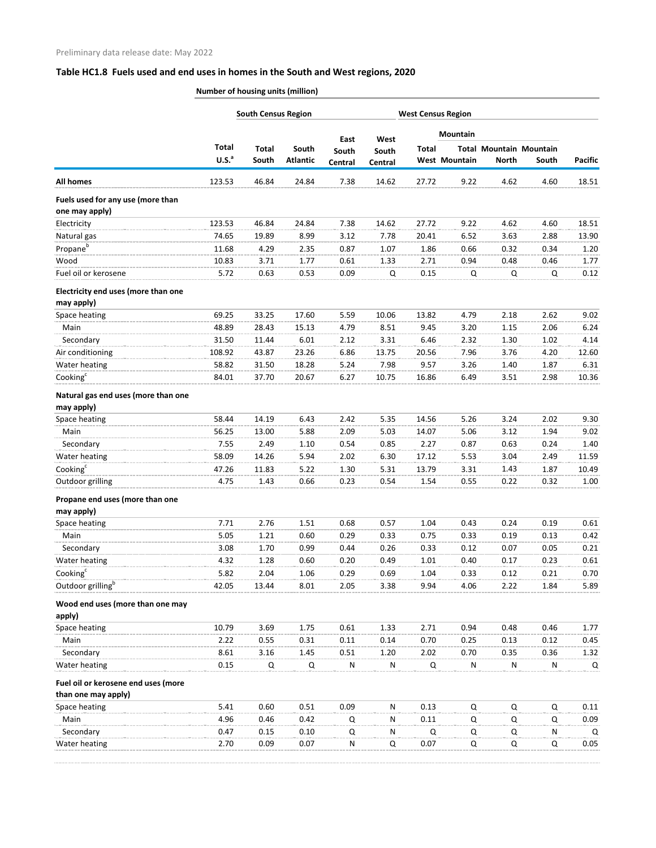## **Table HC1.8 Fuels used and end uses in homes in the South and West regions, 2020**

**Number of housing units (million)**

|                                                            |                                   | <b>South Census Region</b> |                          |                  | <b>West Census Region</b> |              |                      |              |                                         |                |
|------------------------------------------------------------|-----------------------------------|----------------------------|--------------------------|------------------|---------------------------|--------------|----------------------|--------------|-----------------------------------------|----------------|
|                                                            |                                   |                            |                          | East             | West                      |              | Mountain             |              |                                         | <b>Pacific</b> |
|                                                            | <b>Total</b><br>U.S. <sup>a</sup> | <b>Total</b><br>South      | South<br><b>Atlantic</b> | South<br>Central | South<br>Central          | <b>Total</b> | <b>West Mountain</b> | <b>North</b> | <b>Total Mountain Mountain</b><br>South |                |
| <b>All homes</b>                                           | 123.53                            | 46.84                      | 24.84                    | 7.38             | 14.62                     | 27.72        | 9.22                 | 4.62         | 4.60                                    | 18.51          |
| Fuels used for any use (more than<br>one may apply)        |                                   |                            |                          |                  |                           |              |                      |              |                                         |                |
| Electricity                                                | 123.53                            | 46.84                      | 24.84                    | 7.38             | 14.62                     | 27.72        | 9.22                 | 4.62         | 4.60                                    | 18.51          |
| Natural gas                                                | 74.65                             | 19.89                      | 8.99                     | 3.12             | 7.78                      | 20.41        | 6.52                 | 3.63         | 2.88                                    | 13.90          |
| Propane <sup>b</sup>                                       | 11.68                             | 4.29                       | 2.35                     | 0.87             | 1.07                      | 1.86         | 0.66                 | 0.32         | 0.34                                    | 1.20           |
| Wood                                                       | 10.83                             | 3.71                       | 1.77                     | 0.61             | 1.33                      | 2.71         | 0.94                 | 0.48         | 0.46                                    | 1.77           |
| Fuel oil or kerosene                                       | 5.72                              | 0.63                       | 0.53                     | 0.09             | Q                         | 0.15         | Q                    | Q            | Q                                       | 0.12           |
|                                                            |                                   |                            |                          |                  |                           |              |                      |              |                                         |                |
| Electricity end uses (more than one<br>may apply)          |                                   |                            |                          |                  |                           |              |                      |              |                                         |                |
| Space heating                                              | 69.25                             | 33.25                      | 17.60                    | 5.59             | 10.06                     | 13.82        | 4.79                 | 2.18         | 2.62                                    | 9.02           |
| Main                                                       | 48.89                             | 28.43                      | 15.13                    | 4.79             | 8.51                      | 9.45         | 3.20                 | 1.15         | 2.06                                    | 6.24           |
| Secondary                                                  | 31.50                             | 11.44                      | 6.01                     | 2.12             | 3.31                      | 6.46         | 2.32                 | 1.30         | 1.02                                    | 4.14           |
| Air conditioning                                           | 108.92                            | 43.87                      | 23.26                    | 6.86             | 13.75                     | 20.56        | 7.96                 | 3.76         | 4.20                                    | 12.60          |
| Water heating                                              | 58.82                             | 31.50                      | 18.28                    | 5.24             | 7.98                      | 9.57         | 3.26                 | 1.40         | 1.87                                    | 6.31           |
| Cooking <sup>c</sup>                                       | 84.01                             | 37.70                      | 20.67                    | 6.27             | 10.75                     | 16.86        | 6.49                 | 3.51         | 2.98                                    | 10.36          |
| Natural gas end uses (more than one<br>may apply)          |                                   |                            |                          |                  |                           |              |                      |              |                                         |                |
| Space heating                                              | 58.44                             | 14.19                      | 6.43                     | 2.42             | 5.35                      | 14.56        | 5.26                 | 3.24         | 2.02                                    | 9.30           |
| Main                                                       | 56.25                             | 13.00                      | 5.88                     | 2.09             | 5.03                      | 14.07        | 5.06                 | 3.12         | 1.94                                    | 9.02           |
| Secondary                                                  | 7.55                              | 2.49                       | 1.10                     | 0.54             | 0.85                      | 2.27         | 0.87                 | 0.63         | 0.24                                    | 1.40           |
| Water heating                                              | 58.09                             | 14.26                      | 5.94                     | 2.02             | 6.30                      | 17.12        | 5.53                 | 3.04         | 2.49                                    | 11.59          |
| Cooking <sup>c</sup>                                       | 47.26                             | 11.83                      | 5.22                     | 1.30             | 5.31                      | 13.79        | 3.31                 | 1.43         | 1.87                                    | 10.49          |
| Outdoor grilling                                           | 4.75                              | 1.43                       | 0.66                     | 0.23             | 0.54                      | 1.54         | 0.55                 | 0.22         | 0.32                                    | 1.00           |
|                                                            |                                   |                            |                          |                  |                           |              |                      |              |                                         |                |
| Propane end uses (more than one<br>may apply)              |                                   |                            |                          |                  |                           |              |                      |              |                                         |                |
| Space heating                                              | 7.71                              | 2.76                       | 1.51                     | 0.68             | 0.57                      | 1.04         | 0.43                 | 0.24         | 0.19                                    | 0.61           |
| Main                                                       | 5.05                              | 1.21                       | 0.60                     | 0.29             | 0.33                      | 0.75         | 0.33                 | 0.19         | 0.13                                    | 0.42           |
| Secondary                                                  | 3.08                              | 1.70                       | 0.99                     | 0.44             | 0.26                      | 0.33         | 0.12                 | 0.07         | 0.05                                    | 0.21           |
| Water heating                                              | 4.32                              | 1.28                       | 0.60                     | 0.20             | 0.49                      | 1.01         | 0.40                 | 0.17         | 0.23                                    | 0.61           |
| Cooking <sup>c</sup>                                       | 5.82                              | 2.04                       | 1.06                     | 0.29             | 0.69                      | 1.04         | 0.33                 | 0.12         | 0.21                                    | 0.70           |
| Outdoor grilling <sup>b</sup>                              | 42.05                             | 13.44                      | 8.01                     | 2.05             | 3.38                      | 9.94         | 4.06                 | 2.22         | 1.84                                    | 5.89           |
| Wood end uses (more than one may<br>apply)                 |                                   |                            |                          |                  |                           |              |                      |              |                                         |                |
| Space heating                                              | 10.79                             | 3.69                       | 1.75                     | 0.61             | 1.33                      | 2.71         | 0.94                 | 0.48         | 0.46                                    | 1.77           |
| Main                                                       | 2.22                              | 0.55                       | 0.31                     | 0.11             | 0.14                      | 0.70         | 0.25                 | 0.13         | 0.12                                    | 0.45           |
| Secondary                                                  | 8.61                              | 3.16                       | 1.45                     | 0.51             | 1.20                      | 2.02         | 0.70                 | 0.35         | 0.36                                    | 1.32           |
| Water heating                                              | 0.15                              | Q                          | Q                        | $\mathsf{N}$     | ${\sf N}$                 | $\mathsf Q$  | ${\sf N}$            | ${\sf N}$    | ${\sf N}$                               | Q              |
| Fuel oil or kerosene end uses (more<br>than one may apply) |                                   |                            |                          |                  |                           |              |                      |              |                                         |                |
| Space heating                                              | 5.41                              | 0.60                       | 0.51                     | 0.09             | ${\sf N}$                 | 0.13         | Q                    | Q            | Q                                       | 0.11           |
| Main                                                       | 4.96                              | 0.46                       | 0.42                     | Q                | N                         | 0.11         | Q                    | Q            | Q                                       | 0.09           |
| Secondary                                                  | 0.47                              | 0.15                       | 0.10                     | Q                | N                         | Q            | Q                    | Q            | N                                       | Q              |
| Water heating                                              | 2.70                              | 0.09                       | 0.07                     | N                | Q                         | 0.07         | Q                    | Q            | Q                                       | 0.05           |
|                                                            |                                   |                            |                          |                  |                           |              |                      |              |                                         |                |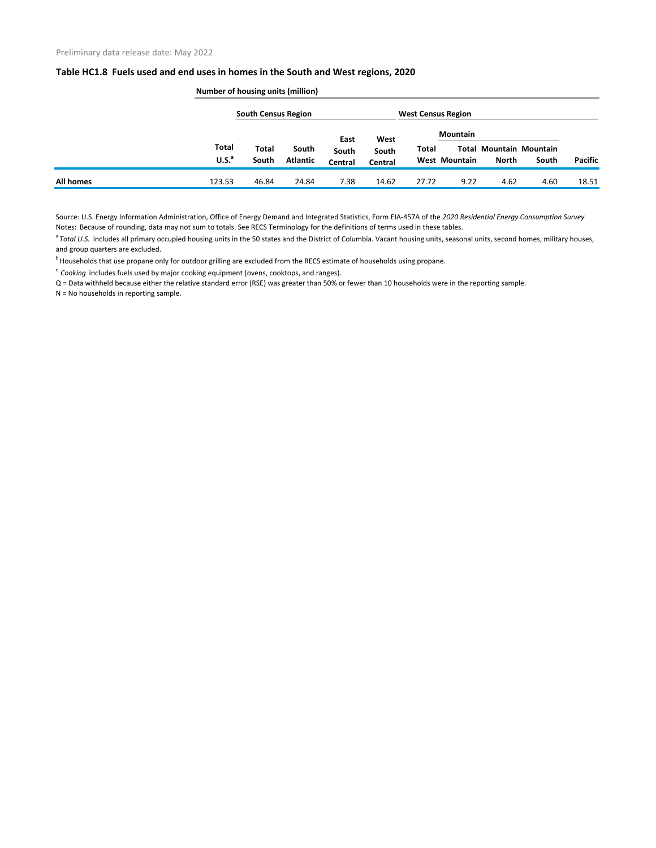## **Table HC1.8 Fuels used and end uses in homes in the South and West regions, 2020**

|           | <b>Number of housing units (million)</b> |              |                 |                |                           |       |                      |                                |       |                |  |
|-----------|------------------------------------------|--------------|-----------------|----------------|---------------------------|-------|----------------------|--------------------------------|-------|----------------|--|
|           | <b>South Census Region</b>               |              |                 |                | <b>West Census Region</b> |       |                      |                                |       |                |  |
|           |                                          |              |                 | East           | West                      |       | <b>Mountain</b>      |                                |       |                |  |
|           | <b>Total</b>                             | <b>Total</b> | South           | South          | South                     | Total |                      | <b>Total Mountain Mountain</b> |       |                |  |
|           | U.S. <sup>a</sup>                        | South        | <b>Atlantic</b> | <b>Central</b> | Central                   |       | <b>West Mountain</b> | <b>North</b>                   | South | <b>Pacific</b> |  |
| All homes | 123.53                                   | 46.84        | 24.84           | 7.38           | 14.62                     | 27.72 | 9.22                 | 4.62                           | 4.60  | 18.51          |  |

Source: U.S. Energy Information Administration, Office of Energy Demand and Integrated Statistics, Form EIA-457A of the *2020 Residential Energy Consumption Survey* Notes: Because of rounding, data may not sum to totals. See RECS Terminology for the definitions of terms used in these tables.

<sup>a</sup> Total U.S. includes all primary occupied housing units in the 50 states and the District of Columbia. Vacant housing units, seasonal units, second homes, military houses, and group quarters are excluded.

<sup>b</sup> Households that use propane only for outdoor grilling are excluded from the RECS estimate of households using propane.

<sup>c</sup> Cooking includes fuels used by major cooking equipment (ovens, cooktops, and ranges).

Q = Data withheld because either the relative standard error (RSE) was greater than 50% or fewer than 10 households were in the reporting sample.

N = No households in reporting sample.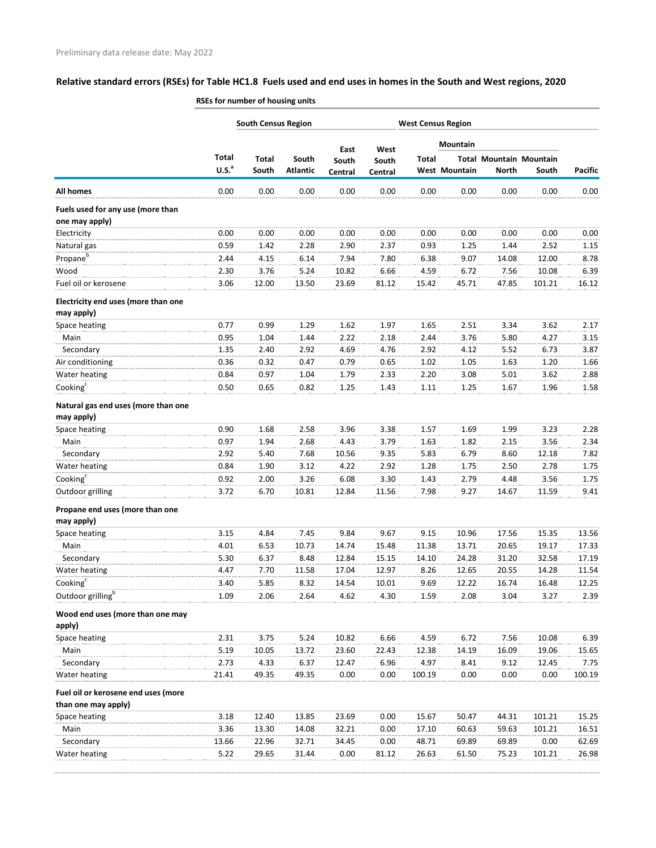## **Relative standard errors (RSEs) for Table HC1.8 Fuels used and end uses in homes in the South and West regions, 2020**

|                                                     | RSEs for number of housing units |                       |                           |                  |                  |              |                      |                                                |        |                |
|-----------------------------------------------------|----------------------------------|-----------------------|---------------------------|------------------|------------------|--------------|----------------------|------------------------------------------------|--------|----------------|
|                                                     | <b>South Census Region</b>       |                       | <b>West Census Region</b> |                  |                  |              |                      |                                                |        |                |
|                                                     |                                  |                       |                           | East             | West             |              | <b>Mountain</b>      |                                                |        | <b>Pacific</b> |
|                                                     | Total<br>U.S. <sup>a</sup>       | <b>Total</b><br>South | South<br><b>Atlantic</b>  | South<br>Central | South<br>Central | <b>Total</b> | <b>West Mountain</b> | <b>Total Mountain Mountain</b><br><b>North</b> | South  |                |
| <b>All homes</b>                                    | 0.00                             | 0.00                  | 0.00                      | 0.00             | 0.00             | 0.00         | 0.00                 | 0.00                                           | 0.00   | 0.00           |
| Fuels used for any use (more than<br>one may apply) |                                  |                       |                           |                  |                  |              |                      |                                                |        |                |
| Electricity                                         | 0.00                             | 0.00                  | 0.00                      | 0.00             | 0.00             | 0.00         | 0.00                 | 0.00                                           | 0.00   | 0.00           |
| Natural gas                                         | 0.59                             | 1.42                  | 2.28                      | 2.90             | 2.37             | 0.93         | 1.25                 | 1.44                                           | 2.52   | 1.15           |
| Propane <sup>b</sup>                                | 2.44                             | 4.15                  | 6.14                      | 7.94             | 7.80             | 6.38         | 9.07                 | 14.08                                          | 12.00  | 8.78           |
| Wood                                                | 2.30                             | 3.76                  | 5.24                      | 10.82            | 6.66             | 4.59         | 6.72                 | 7.56                                           | 10.08  | 6.39           |
| Fuel oil or kerosene                                | 3.06                             | 12.00                 | 13.50                     | 23.69            | 81.12            | 15.42        | 45.71                | 47.85                                          | 101.21 | 16.12          |
| Electricity end uses (more than one<br>may apply)   |                                  |                       |                           |                  |                  |              |                      |                                                |        |                |
| Space heating                                       | 0.77                             | 0.99                  | 1.29                      | 1.62             | 1.97             | 1.65         | 2.51                 | 3.34                                           | 3.62   | 2.17           |
| Main                                                | 0.95                             | 1.04                  | 1.44                      | 2.22             | 2.18             | 2.44         | 3.76                 | 5.80                                           | 4.27   | 3.15           |
| Secondary                                           | 1.35                             | 2.40                  | 2.92                      | 4.69             | 4.76             | 2.92         | 4.12                 | 5.52                                           | 6.73   | 3.87           |
| Air conditioning                                    | 0.36                             | 0.32                  | 0.47                      | 0.79             | 0.65             | 1.02         | 1.05                 | 1.63                                           | 1.20   | 1.66           |
| Water heating                                       | 0.84                             | 0.97                  | 1.04                      | 1.79             | 2.33             | 2.20         | 3.08                 | 5.01                                           | 3.62   | 2.88           |
| Cooking <sup>c</sup>                                | 0.50                             | 0.65                  | 0.82                      | 1.25             | 1.43             | 1.11         | 1.25                 | 1.67                                           | 1.96   | 1.58           |
| Natural gas end uses (more than one<br>may apply)   |                                  |                       |                           |                  |                  |              |                      |                                                |        |                |
| Space heating                                       | 0.90                             | 1.68                  | 2.58                      | 3.96             | 3.38             | 1.57         | 1.69                 | 1.99                                           | 3.23   | 2.28           |
| Main                                                | 0.97                             | 1.94                  | 2.68                      | 4.43             | 3.79             | 1.63         | 1.82                 | 2.15                                           | 3.56   | 2.34           |
| Secondary                                           | 2.92                             | 5.40                  | 7.68                      | 10.56            | 9.35             | 5.83         | 6.79                 | 8.60                                           | 12.18  | 7.82           |
| Water heating                                       | 0.84                             | 1.90                  | 3.12                      | 4.22             | 2.92             | 1.28         | 1.75                 | 2.50                                           | 2.78   | 1.75           |
| Cooking <sup>c</sup>                                | 0.92                             | 2.00                  | 3.26                      | 6.08             | 3.30             | 1.43         | 2.79                 | 4.48                                           | 3.56   | 1.75           |
| Outdoor grilling                                    | 3.72                             | 6.70                  | 10.81                     | 12.84            | 11.56            | 7.98         | 9.27                 | 14.67                                          | 11.59  | 9.41           |
| Propane end uses (more than one                     |                                  |                       |                           |                  |                  |              |                      |                                                |        |                |
| may apply)                                          |                                  |                       |                           |                  |                  |              |                      |                                                |        |                |
| Space heating                                       | 3.15                             | 4.84                  | 7.45                      | 9.84             | 9.67             | 9.15         | 10.96                | 17.56                                          | 15.35  | 13.56          |
| Main                                                | 4.01                             | 6.53                  | 10.73                     | 14.74            | 15.48            | 11.38        | 13.71                | 20.65                                          | 19.17  | 17.33          |
| Secondary                                           | 5.30                             | 6.37                  | 8.48                      | 12.84            | 15.15            | 14.10        | 24.28                | 31.20                                          | 32.58  | 17.19          |
| Water heating                                       | 4.47                             | 7.70                  | 11.58                     | 17.04            | 12.97            | 8.26         | 12.65                | 20.55                                          | 14.28  | 11.54          |
| Cooking <sup>c</sup>                                | 3.40                             | 5.85                  | 8.32                      | 14.54            | 10.01            | 9.69         | 12.22                | 16.74                                          | 16.48  | 12.25          |
| Outdoor grilling <sup>b</sup>                       | 1.09                             | 2.06                  | 2.64                      | 4.62             | 4.30             | 1.59         | 2.08                 | 3.04                                           | 3.27   | 2.39           |
| Wood end uses (more than one may<br>apply)          |                                  |                       |                           |                  |                  |              |                      |                                                |        |                |
| Space heating                                       | 2.31                             | 3.75                  | 5.24                      | 10.82            | 6.66             | 4.59         | 6.72                 | 7.56                                           | 10.08  | 6.39           |
| Main                                                | 5.19                             | 10.05                 | 13.72                     | 23.60            | 22.43            | 12.38        | 14.19                | 16.09                                          | 19.06  | 15.65          |
| Secondary                                           | 2.73                             | 4.33                  | 6.37                      | 12.47            | 6.96             | 4.97         | 8.41                 | 9.12                                           | 12.45  | 7.75           |
| Water heating                                       | 21.41                            | 49.35                 | 49.35                     | 0.00             | 0.00             | 100.19       | 0.00                 | 0.00                                           | 0.00   | 100.19         |
| Fuel oil or kerosene end uses (more                 |                                  |                       |                           |                  |                  |              |                      |                                                |        |                |
| than one may apply)                                 |                                  |                       |                           |                  |                  |              |                      |                                                |        |                |
| Space heating                                       | 3.18                             | 12.40                 | 13.85                     | 23.69            | 0.00             | 15.67        | 50.47                | 44.31                                          | 101.21 | 15.25          |
| Main                                                | 3.36                             | 13.30                 | 14.08                     | 32.21            | 0.00             | 17.10        | 60.63                | 59.63                                          | 101.21 | 16.51          |
| Secondary                                           | 13.66                            | 22.96                 | 32.71                     | 34.45            | 0.00             | 48.71        | 69.89                | 69.89                                          | 0.00   | 62.69          |
| Water heating                                       | 5.22                             | 29.65                 | 31.44                     | 0.00             | 81.12            | 26.63        | 61.50                | 75.23                                          | 101.21 | 26.98          |
|                                                     |                                  |                       |                           |                  |                  |              |                      |                                                |        |                |